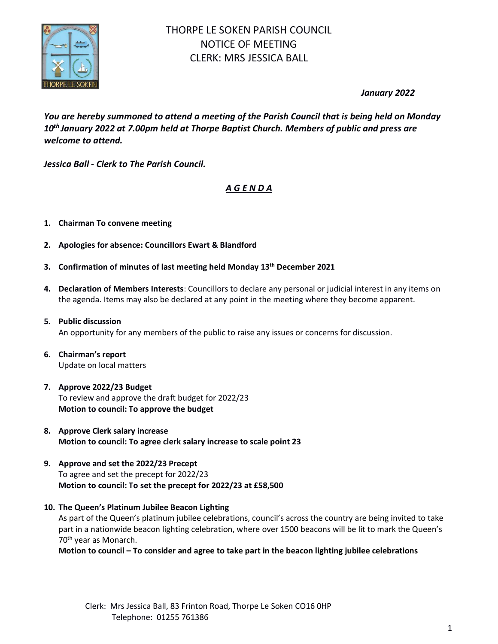

*January 2022*

*You are hereby summoned to attend a meeting of the Parish Council that is being held on Monday 10 th January 2022 at 7.00pm held at Thorpe Baptist Church. Members of public and press are welcome to attend.*

*Jessica Ball* **-** *Clerk to The Parish Council.*

# *A G E N D A*

- **1. Chairman To convene meeting**
- **2. Apologies for absence: Councillors Ewart & Blandford**
- **3. Confirmation of minutes of last meeting held Monday 13 th December 2021**
- **4. Declaration of Members Interests**: Councillors to declare any personal or judicial interest in any items on the agenda. Items may also be declared at any point in the meeting where they become apparent.
- **5. Public discussion** An opportunity for any members of the public to raise any issues or concerns for discussion.
- **6. Chairman's report** Update on local matters
- **7. Approve 2022/23 Budget** To review and approve the draft budget for 2022/23 **Motion to council: To approve the budget**
- **8. Approve Clerk salary increase Motion to council: To agree clerk salary increase to scale point 23**
- **9. Approve and set the 2022/23 Precept** To agree and set the precept for 2022/23 **Motion to council: To set the precept for 2022/23 at £58,500**
- **10. The Queen's Platinum Jubilee Beacon Lighting**

As part of the Queen's platinum jubilee celebrations, council's across the country are being invited to take part in a nationwide beacon lighting celebration, where over 1500 beacons will be lit to mark the Queen's 70th year as Monarch.

**Motion to council – To consider and agree to take part in the beacon lighting jubilee celebrations**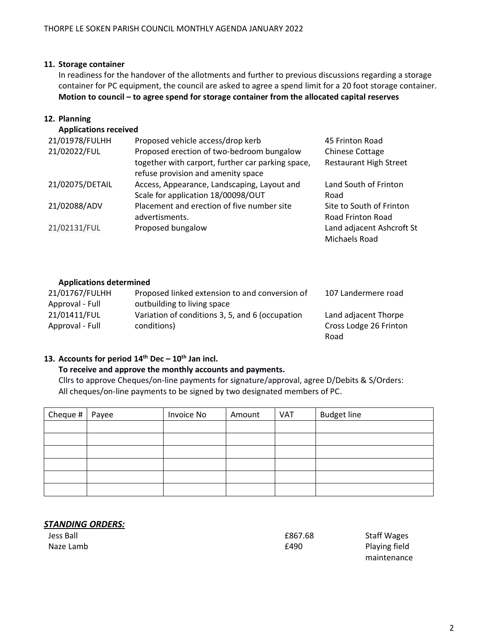## **11. Storage container**

In readiness for the handover of the allotments and further to previous discussions regarding a storage container for PC equipment, the council are asked to agree a spend limit for a 20 foot storage container. **Motion to council – to agree spend for storage container from the allocated capital reserves**

## **12. Planning**

**Applications received**

| 21/01978/FULHH  | Proposed vehicle access/drop kerb                 | 45 Frinton Road               |
|-----------------|---------------------------------------------------|-------------------------------|
| 21/02022/FUL    | Proposed erection of two-bedroom bungalow         | <b>Chinese Cottage</b>        |
|                 | together with carport, further car parking space, | <b>Restaurant High Street</b> |
|                 | refuse provision and amenity space                |                               |
| 21/02075/DETAIL | Access, Appearance, Landscaping, Layout and       | Land South of Frinton         |
|                 | Scale for application 18/00098/OUT                | Road                          |
| 21/02088/ADV    | Placement and erection of five number site        | Site to South of Frinton      |
|                 | advertisments.                                    | Road Frinton Road             |
| 21/02131/FUL    | Proposed bungalow                                 | Land adjacent Ashcroft St     |
|                 |                                                   | Michaels Road                 |

## **Applications determined**

| 21/01767/FULHH  | Proposed linked extension to and conversion of  | 107 Landermere road    |
|-----------------|-------------------------------------------------|------------------------|
| Approval - Full | outbuilding to living space                     |                        |
| 21/01411/FUL    | Variation of conditions 3, 5, and 6 (occupation | Land adjacent Thorpe   |
| Approval - Full | conditions)                                     | Cross Lodge 26 Frinton |
|                 |                                                 | Road                   |

## **13. Accounts for period 14th Dec – 10 th Jan incl.**

## **To receive and approve the monthly accounts and payments.**

Cllrs to approve Cheques/on-line payments for signature/approval, agree D/Debits & S/Orders: All cheques/on-line payments to be signed by two designated members of PC.

| Cheque # | Payee | Invoice No | Amount | <b>VAT</b> | <b>Budget line</b> |
|----------|-------|------------|--------|------------|--------------------|
|          |       |            |        |            |                    |
|          |       |            |        |            |                    |
|          |       |            |        |            |                    |
|          |       |            |        |            |                    |
|          |       |            |        |            |                    |
|          |       |            |        |            |                    |

## *STANDING ORDERS:*

Jess Ball £867.68 Staff Wages Naze Lamb **E490** Playing field maintenance